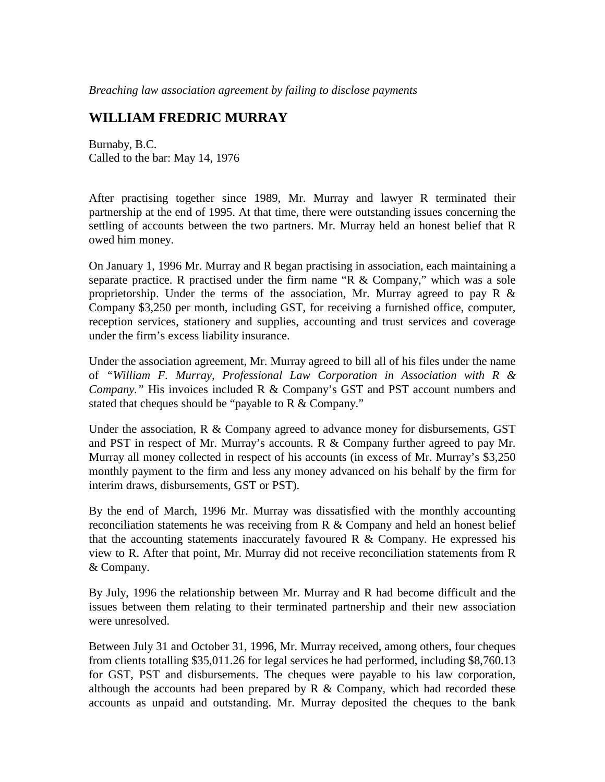*Breaching law association agreement by failing to disclose payments* 

## **WILLIAM FREDRIC MURRAY**

Burnaby, B.C. Called to the bar: May 14, 1976

After practising together since 1989, Mr. Murray and lawyer R terminated their partnership at the end of 1995. At that time, there were outstanding issues concerning the settling of accounts between the two partners. Mr. Murray held an honest belief that R owed him money.

On January 1, 1996 Mr. Murray and R began practising in association, each maintaining a separate practice. R practised under the firm name "R  $&$  Company," which was a sole proprietorship. Under the terms of the association, Mr. Murray agreed to pay R  $\&$ Company \$3,250 per month, including GST, for receiving a furnished office, computer, reception services, stationery and supplies, accounting and trust services and coverage under the firm's excess liability insurance.

Under the association agreement, Mr. Murray agreed to bill all of his files under the name of *"William F. Murray, Professional Law Corporation in Association with R & Company."* His invoices included R & Company's GST and PST account numbers and stated that cheques should be "payable to R & Company."

Under the association, R & Company agreed to advance money for disbursements, GST and PST in respect of Mr. Murray's accounts. R  $&$  Company further agreed to pay Mr. Murray all money collected in respect of his accounts (in excess of Mr. Murray's \$3,250 monthly payment to the firm and less any money advanced on his behalf by the firm for interim draws, disbursements, GST or PST).

By the end of March, 1996 Mr. Murray was dissatisfied with the monthly accounting reconciliation statements he was receiving from  $R \& Company$  and held an honest belief that the accounting statements inaccurately favoured  $R \& Company.$  He expressed his view to R. After that point, Mr. Murray did not receive reconciliation statements from R & Company.

By July, 1996 the relationship between Mr. Murray and R had become difficult and the issues between them relating to their terminated partnership and their new association were unresolved.

Between July 31 and October 31, 1996, Mr. Murray received, among others, four cheques from clients totalling \$35,011.26 for legal services he had performed, including \$8,760.13 for GST, PST and disbursements. The cheques were payable to his law corporation, although the accounts had been prepared by  $R \& Company, which had recorded these$ accounts as unpaid and outstanding. Mr. Murray deposited the cheques to the bank